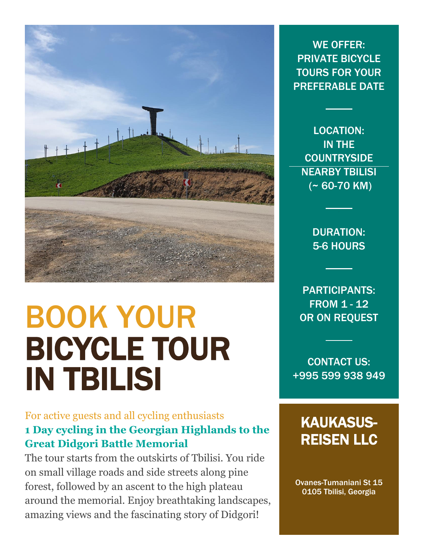

# BOOK YOUR BICYCLE TOUR IN TBILISI

#### For active guests and all cycling enthusiasts **1 Day cycling in the Georgian Highlands to the Great Didgori Battle Memorial**

The tour starts from the outskirts of Tbilisi. You ride on small village roads and side streets along pine forest, followed by an ascent to the high plateau around the memorial. Enjoy breathtaking landscapes, amazing views and the fascinating story of Didgori!

WE OFFER: PRIVATE BICYCLE TOURS FOR YOUR PREFERABLE DATE

LOCATION: IN THE **COUNTRYSIDE** NEARBY TBILISI  $($  ~ 60-70 KM)

> DURATION: 5-6 HOURS

PARTICIPANTS: FROM 1 - 12 OR ON REQUEST

CONTACT US: +995 599 938 949

## KAUKASUS-REISEN LLC

Ovanes-Tumaniani St 15 0105 Tbilisi, Georgia